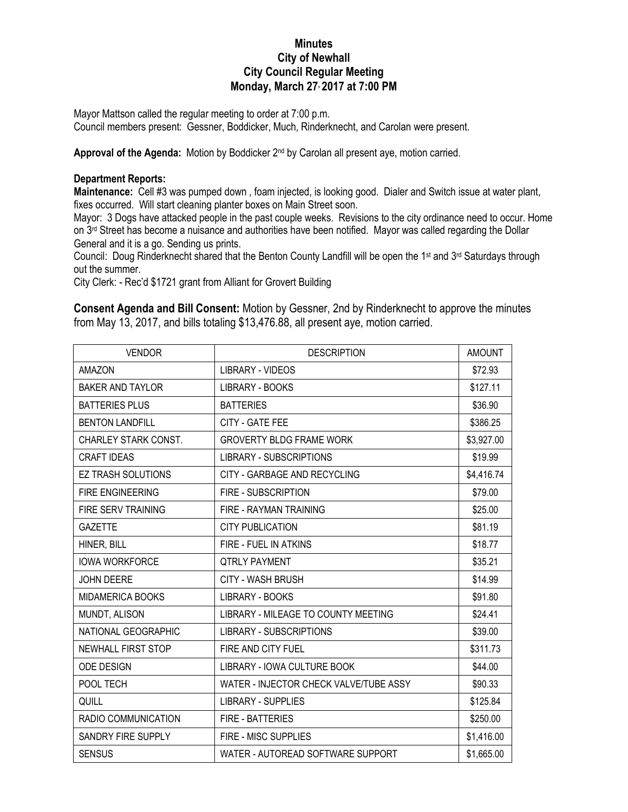## **Minutes City of Newhall City Council Regular Meeting Monday, March 27, 2017 at 7:00 PM**

Mayor Mattson called the regular meeting to order at 7:00 p.m.

Council members present: Gessner, Boddicker, Much, Rinderknecht, and Carolan were present.

Approval of the Agenda: Motion by Boddicker 2<sup>nd</sup> by Carolan all present aye, motion carried.

## **Department Reports:**

**Maintenance:** Cell #3 was pumped down , foam injected, is looking good. Dialer and Switch issue at water plant, fixes occurred. Will start cleaning planter boxes on Main Street soon.

Mayor: 3 Dogs have attacked people in the past couple weeks. Revisions to the city ordinance need to occur. Home on 3<sup>rd</sup> Street has become a nuisance and authorities have been notified. Mayor was called regarding the Dollar General and it is a go. Sending us prints.

Council: Doug Rinderknecht shared that the Benton County Landfill will be open the 1<sup>st</sup> and 3<sup>rd</sup> Saturdays through out the summer.

City Clerk: - Rec'd \$1721 grant from Alliant for Grovert Building

**Consent Agenda and Bill Consent:** Motion by Gessner, 2nd by Rinderknecht to approve the minutes from May 13, 2017, and bills totaling \$13,476.88, all present aye, motion carried.

| <b>VENDOR</b>             | <b>DESCRIPTION</b>                     | <b>AMOUNT</b> |
|---------------------------|----------------------------------------|---------------|
| <b>AMAZON</b>             | <b>LIBRARY - VIDEOS</b>                | \$72.93       |
| <b>BAKER AND TAYLOR</b>   | <b>LIBRARY - BOOKS</b>                 | \$127.11      |
| <b>BATTERIES PLUS</b>     | <b>BATTERIES</b>                       | \$36.90       |
| <b>BENTON LANDFILL</b>    | CITY - GATE FEE                        | \$386.25      |
| CHARLEY STARK CONST.      | <b>GROVERTY BLDG FRAME WORK</b>        | \$3,927.00    |
| CRAFT IDEAS               | <b>LIBRARY - SUBSCRIPTIONS</b>         | \$19.99       |
| <b>EZ TRASH SOLUTIONS</b> | CITY - GARBAGE AND RECYCLING           | \$4,416.74    |
| <b>FIRE ENGINEERING</b>   | <b>FIRE - SUBSCRIPTION</b>             | \$79.00       |
| <b>FIRE SERV TRAINING</b> | FIRE - RAYMAN TRAINING                 | \$25.00       |
| <b>GAZETTE</b>            | <b>CITY PUBLICATION</b>                | \$81.19       |
| HINER, BILL               | FIRE - FUEL IN ATKINS                  | \$18.77       |
| <b>IOWA WORKFORCE</b>     | <b>QTRLY PAYMENT</b>                   | \$35.21       |
| <b>JOHN DEERE</b>         | <b>CITY - WASH BRUSH</b>               | \$14.99       |
| <b>MIDAMERICA BOOKS</b>   | <b>LIBRARY - BOOKS</b>                 | \$91.80       |
| MUNDT, ALISON             | LIBRARY - MILEAGE TO COUNTY MEETING    | \$24.41       |
| NATIONAL GEOGRAPHIC       | <b>LIBRARY - SUBSCRIPTIONS</b>         | \$39.00       |
| NEWHALL FIRST STOP        | FIRE AND CITY FUEL                     | \$311.73      |
| ODE DESIGN                | LIBRARY - IOWA CULTURE BOOK            | \$44.00       |
| POOL TECH                 | WATER - INJECTOR CHECK VALVE/TUBE ASSY | \$90.33       |
| QUILL                     | <b>LIBRARY - SUPPLIES</b>              | \$125.84      |
| RADIO COMMUNICATION       | <b>FIRE - BATTERIES</b>                | \$250.00      |
| SANDRY FIRE SUPPLY        | FIRE - MISC SUPPLIES                   | \$1,416.00    |
| <b>SENSUS</b>             | WATER - AUTOREAD SOFTWARE SUPPORT      | \$1,665.00    |